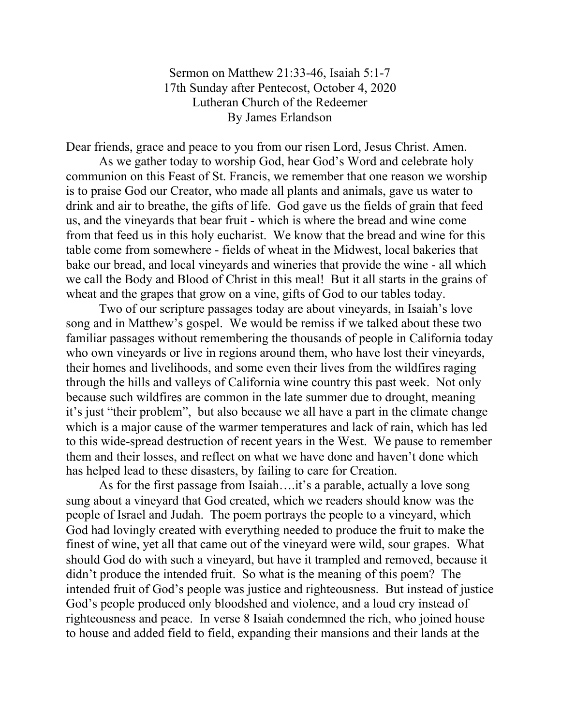Sermon on Matthew 21:33-46, Isaiah 5:1-7 17th Sunday after Pentecost, October 4, 2020 Lutheran Church of the Redeemer By James Erlandson

Dear friends, grace and peace to you from our risen Lord, Jesus Christ. Amen.

As we gather today to worship God, hear God's Word and celebrate holy communion on this Feast of St. Francis, we remember that one reason we worship is to praise God our Creator, who made all plants and animals, gave us water to drink and air to breathe, the gifts of life. God gave us the fields of grain that feed us, and the vineyards that bear fruit - which is where the bread and wine come from that feed us in this holy eucharist. We know that the bread and wine for this table come from somewhere - fields of wheat in the Midwest, local bakeries that bake our bread, and local vineyards and wineries that provide the wine - all which we call the Body and Blood of Christ in this meal! But it all starts in the grains of wheat and the grapes that grow on a vine, gifts of God to our tables today.

Two of our scripture passages today are about vineyards, in Isaiah's love song and in Matthew's gospel. We would be remiss if we talked about these two familiar passages without remembering the thousands of people in California today who own vineyards or live in regions around them, who have lost their vineyards, their homes and livelihoods, and some even their lives from the wildfires raging through the hills and valleys of California wine country this past week. Not only because such wildfires are common in the late summer due to drought, meaning it's just "their problem", but also because we all have a part in the climate change which is a major cause of the warmer temperatures and lack of rain, which has led to this wide-spread destruction of recent years in the West. We pause to remember them and their losses, and reflect on what we have done and haven't done which has helped lead to these disasters, by failing to care for Creation.

As for the first passage from Isaiah....it's a parable, actually a love song sung about a vineyard that God created, which we readers should know was the people of Israel and Judah. The poem portrays the people to a vineyard, which God had lovingly created with everything needed to produce the fruit to make the finest of wine, yet all that came out of the vineyard were wild, sour grapes. What should God do with such a vineyard, but have it trampled and removed, because it didn't produce the intended fruit. So what is the meaning of this poem? The intended fruit of God's people was justice and righteousness. But instead of justice God's people produced only bloodshed and violence, and a loud cry instead of righteousness and peace. In verse 8 Isaiah condemned the rich, who joined house to house and added field to field, expanding their mansions and their lands at the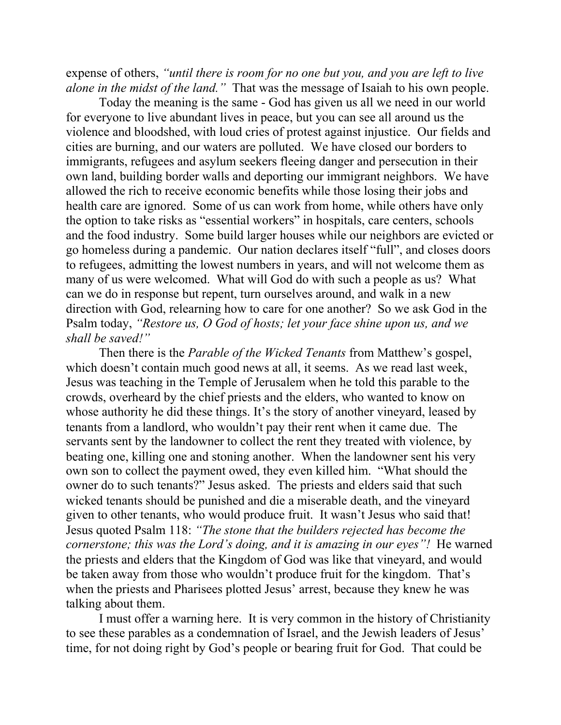expense of others, *"until there is room for no one but you, and you are left to live alone in the midst of the land."* That was the message of Isaiah to his own people.

Today the meaning is the same - God has given us all we need in our world for everyone to live abundant lives in peace, but you can see all around us the violence and bloodshed, with loud cries of protest against injustice. Our fields and cities are burning, and our waters are polluted. We have closed our borders to immigrants, refugees and asylum seekers fleeing danger and persecution in their own land, building border walls and deporting our immigrant neighbors. We have allowed the rich to receive economic benefits while those losing their jobs and health care are ignored. Some of us can work from home, while others have only the option to take risks as "essential workers" in hospitals, care centers, schools and the food industry. Some build larger houses while our neighbors are evicted or go homeless during a pandemic. Our nation declares itself "full", and closes doors to refugees, admitting the lowest numbers in years, and will not welcome them as many of us were welcomed. What will God do with such a people as us? What can we do in response but repent, turn ourselves around, and walk in a new direction with God, relearning how to care for one another? So we ask God in the Psalm today, *"Restore us, O God of hosts; let your face shine upon us, and we shall be saved!"*

Then there is the *Parable of the Wicked Tenants* from Matthew's gospel, which doesn't contain much good news at all, it seems. As we read last week, Jesus was teaching in the Temple of Jerusalem when he told this parable to the crowds, overheard by the chief priests and the elders, who wanted to know on whose authority he did these things. It's the story of another vineyard, leased by tenants from a landlord, who wouldn't pay their rent when it came due. The servants sent by the landowner to collect the rent they treated with violence, by beating one, killing one and stoning another. When the landowner sent his very own son to collect the payment owed, they even killed him. "What should the owner do to such tenants?" Jesus asked. The priests and elders said that such wicked tenants should be punished and die a miserable death, and the vineyard given to other tenants, who would produce fruit. It wasn't Jesus who said that! Jesus quoted Psalm 118: *"The stone that the builders rejected has become the cornerstone; this was the Lord's doing, and it is amazing in our eyes"!* He warned the priests and elders that the Kingdom of God was like that vineyard, and would be taken away from those who wouldn't produce fruit for the kingdom. That's when the priests and Pharisees plotted Jesus' arrest, because they knew he was talking about them.

I must offer a warning here. It is very common in the history of Christianity to see these parables as a condemnation of Israel, and the Jewish leaders of Jesus' time, for not doing right by God's people or bearing fruit for God. That could be